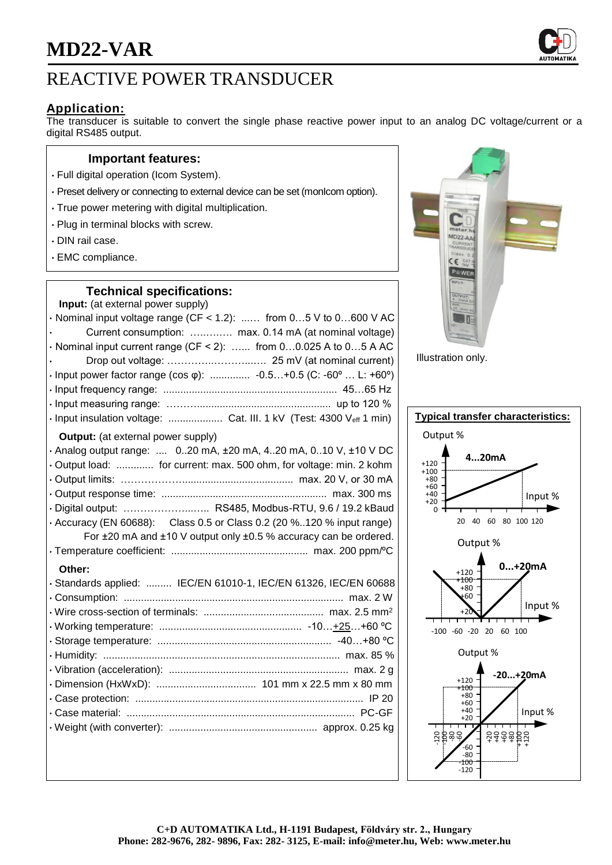# **MD22-VAR**



# **Application:**

The transducer is suitable to convert the single phase reactive power input to an analog DC voltage/current or a digital RS485 output.

#### **Important features:**

- Full digital operation (Icom System).
- Preset delivery or connecting to external device can be set (monIcom option).
- True power metering with digital multiplication.
- Plug in terminal blocks with screw.
- DIN rail case.
- EMC compliance.

### **Technical specifications:**

| Input: (at external power supply)                                         |
|---------------------------------------------------------------------------|
| $\cdot$ Nominal input voltage range (CF < 1.2):  from 05 V to 0600 V AC   |
| Current consumption:  max. 0.14 mA (at nominal voltage)                   |
| · Nominal input current range (CF < 2):  from 00.025 A to 05 A AC         |
|                                                                           |
| • Input power factor range (cos $\varphi$ ):  -0.5+0.5 (C: -60°  L: +60°) |
|                                                                           |
|                                                                           |
| · Input insulation voltage:  Cat. III. 1 kV (Test: 4300 Veff 1 min)       |
| <b>Output:</b> (at external power supply)                                 |
| · Analog output range:  020 mA, ±20 mA, 420 mA, 010 V, ±10 V DC           |
| · Output load:  for current: max. 500 ohm, for voltage: min. 2 kohm       |
|                                                                           |
|                                                                           |
| · Digital output:  RS485, Modbus-RTU, 9.6 / 19.2 kBaud                    |
| • Accuracy (EN 60688): Class 0.5 or Class 0.2 (20 %120 % input range)     |
| For ±20 mA and ±10 V output only ±0.5 % accuracy can be ordered.          |
|                                                                           |
| Other:                                                                    |
| · Standards applied:  IEC/EN 61010-1, IEC/EN 61326, IEC/EN 60688          |
|                                                                           |
|                                                                           |
|                                                                           |
|                                                                           |
|                                                                           |
|                                                                           |
|                                                                           |
|                                                                           |
|                                                                           |
|                                                                           |
|                                                                           |



Illustration only.